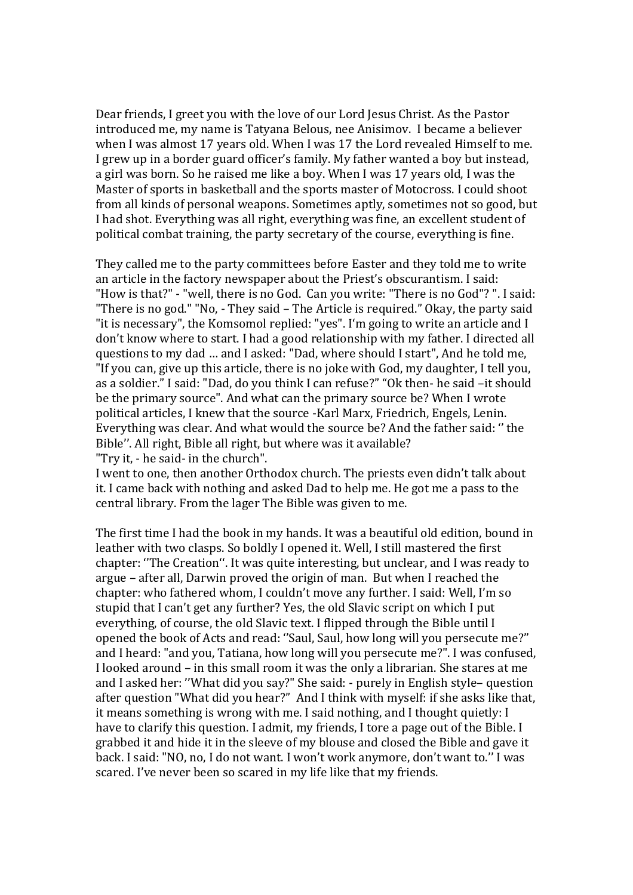Dear friends, I greet you with the love of our Lord Jesus Christ. As the Pastor introduced me, my name is Tatyana Belous, nee Anisimov. I became a believer when I was almost 17 years old. When I was 17 the Lord revealed Himself to me. I grew up in a border guard officer's family. My father wanted a boy but instead, a girl was born. So he raised me like a boy. When I was 17 years old, I was the Master of sports in basketball and the sports master of Motocross. I could shoot from all kinds of personal weapons. Sometimes aptly, sometimes not so good, but I had shot. Everything was all right, everything was fine, an excellent student of political combat training, the party secretary of the course, everything is fine.

They called me to the party committees before Easter and they told me to write an article in the factory newspaper about the Priest's obscurantism. I said: "How is that?" - "well, there is no God. Can you write: "There is no God"? ". I said: "There is no god." "No, - They said – The Article is required." Okay, the party said "it is necessary", the Komsomol replied: "yes". I'm going to write an article and I don't know where to start. I had a good relationship with my father. I directed all questions to my dad … and I asked: "Dad, where should I start", And he told me, "If you can, give up this article, there is no joke with God, my daughter, I tell you, as a soldier." I said: "Dad, do you think I can refuse?" "Ok then- he said –it should be the primary source". And what can the primary source be? When I wrote political articles, I knew that the source -Karl Marx, Friedrich, Engels, Lenin. Everything was clear. And what would the source be? And the father said: '' the Bible''. All right, Bible all right, but where was it available? "Try it, - he said- in the church".

I went to one, then another Orthodox church. The priests even didn't talk about it. I came back with nothing and asked Dad to help me. He got me a pass to the central library. From the lager The Bible was given to me.

The first time I had the book in my hands. It was a beautiful old edition, bound in leather with two clasps. So boldly I opened it. Well, I still mastered the first chapter: ''The Creation''. It was quite interesting, but unclear, and I was ready to argue – after all, Darwin proved the origin of man. But when I reached the chapter: who fathered whom, I couldn't move any further. I said: Well, I'm so stupid that I can't get any further? Yes, the old Slavic script on which I put everything, of course, the old Slavic text. I flipped through the Bible until I opened the book of Acts and read: ''Saul, Saul, how long will you persecute me?'' and I heard: "and you, Tatiana, how long will you persecute me?". I was confused, I looked around – in this small room it was the only a librarian. She stares at me and I asked her: ''What did you say?" She said: - purely in English style– question after question "What did you hear?" And I think with myself: if she asks like that, it means something is wrong with me. I said nothing, and I thought quietly: I have to clarify this question. I admit, my friends, I tore a page out of the Bible. I grabbed it and hide it in the sleeve of my blouse and closed the Bible and gave it back. I said: "NO, no, I do not want. I won't work anymore, don't want to.'' I was scared. I've never been so scared in my life like that my friends.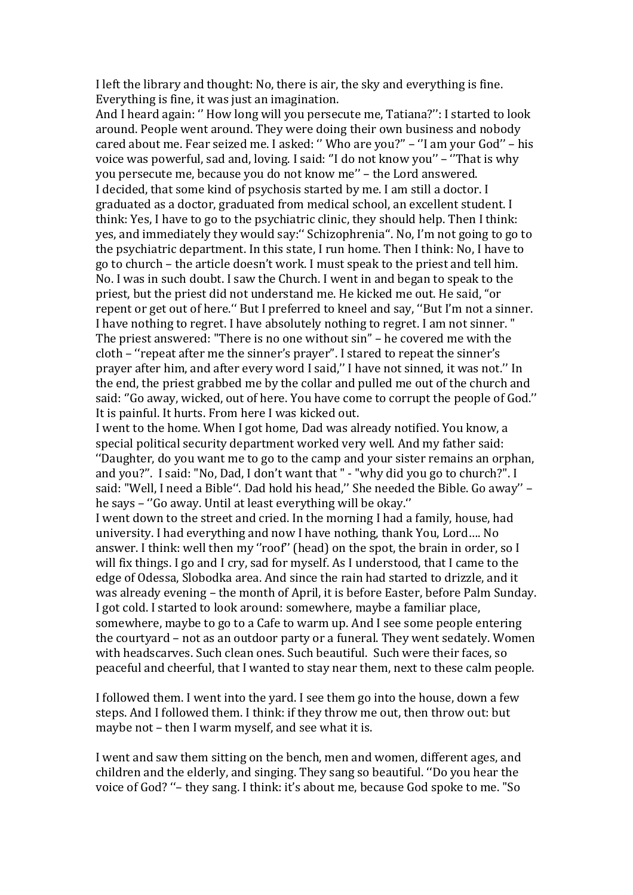I left the library and thought: No, there is air, the sky and everything is fine. Everything is fine, it was just an imagination.

And I heard again: '' How long will you persecute me, Tatiana?'': I started to look around. People went around. They were doing their own business and nobody cared about me. Fear seized me. I asked: '' Who are you?'' – ''I am your God'' – his voice was powerful, sad and, loving. I said: ''I do not know you'' – ''That is why you persecute me, because you do not know me'' – the Lord answered. I decided, that some kind of psychosis started by me. I am still a doctor. I graduated as a doctor, graduated from medical school, an excellent student. I think: Yes, I have to go to the psychiatric clinic, they should help. Then I think: yes, and immediately they would say:'' Schizophrenia''. No, I'm not going to go to the psychiatric department. In this state, I run home. Then I think: No, I have to go to church – the article doesn't work. I must speak to the priest and tell him. No. I was in such doubt. I saw the Church. I went in and began to speak to the priest, but the priest did not understand me. He kicked me out. He said, "or repent or get out of here.'' But I preferred to kneel and say, ''But I'm not a sinner. I have nothing to regret. I have absolutely nothing to regret. I am not sinner. " The priest answered: "There is no one without sin" – he covered me with the cloth – ''repeat after me the sinner's prayer". I stared to repeat the sinner's prayer after him, and after every word I said,'' I have not sinned, it was not.'' In the end, the priest grabbed me by the collar and pulled me out of the church and said: ''Go away, wicked, out of here. You have come to corrupt the people of God.'' It is painful. It hurts. From here I was kicked out.

I went to the home. When I got home, Dad was already notified. You know, a special political security department worked very well. And my father said: ''Daughter, do you want me to go to the camp and your sister remains an orphan, and you?''. I said: "No, Dad, I don't want that " - "why did you go to church?". I said: "Well, I need a Bible". Dad hold his head," She needed the Bible. Go away" he says – ''Go away. Until at least everything will be okay.''

I went down to the street and cried. In the morning I had a family, house, had university. I had everything and now I have nothing, thank You, Lord…. No answer. I think: well then my ''roof'' (head) on the spot, the brain in order, so I will fix things. I go and I cry, sad for myself. As I understood, that I came to the edge of Odessa, Slobodka area. And since the rain had started to drizzle, and it was already evening – the month of April, it is before Easter, before Palm Sunday. I got cold. I started to look around: somewhere, maybe a familiar place, somewhere, maybe to go to a Cafe to warm up. And I see some people entering the courtyard – not as an outdoor party or a funeral. They went sedately. Women with headscarves. Such clean ones. Such beautiful. Such were their faces, so peaceful and cheerful, that I wanted to stay near them, next to these calm people.

I followed them. I went into the yard. I see them go into the house, down a few steps. And I followed them. I think: if they throw me out, then throw out: but maybe not – then I warm myself, and see what it is.

I went and saw them sitting on the bench, men and women, different ages, and children and the elderly, and singing. They sang so beautiful. ''Do you hear the voice of God? ''– they sang. I think: it's about me, because God spoke to me. "So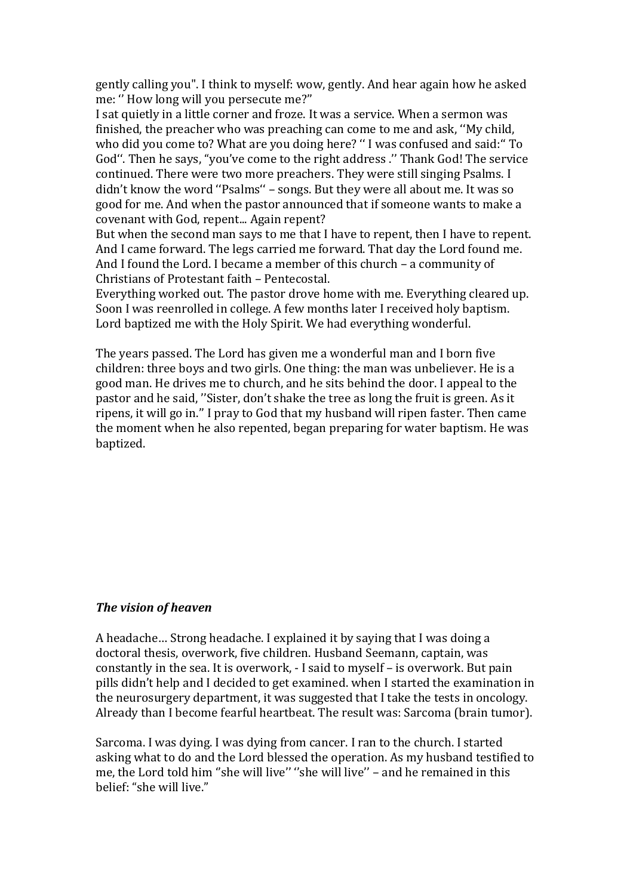gently calling you". I think to myself: wow, gently. And hear again how he asked me: '' How long will you persecute me?''

I sat quietly in a little corner and froze. It was a service. When a sermon was finished, the preacher who was preaching can come to me and ask, ''My child, who did you come to? What are you doing here? '' I was confused and said:'' To God''. Then he says, "you've come to the right address .'' Thank God! The service continued. There were two more preachers. They were still singing Psalms. I didn't know the word "Psalms" - songs. But they were all about me. It was so good for me. And when the pastor announced that if someone wants to make a covenant with God, repent... Again repent?

But when the second man says to me that I have to repent, then I have to repent. And I came forward. The legs carried me forward. That day the Lord found me. And I found the Lord. I became a member of this church – a community of Christians of Protestant faith – Pentecostal.

Everything worked out. The pastor drove home with me. Everything cleared up. Soon I was reenrolled in college. A few months later I received holy baptism. Lord baptized me with the Holy Spirit. We had everything wonderful.

The years passed. The Lord has given me a wonderful man and I born five children: three boys and two girls. One thing: the man was unbeliever. He is a good man. He drives me to church, and he sits behind the door. I appeal to the pastor and he said, ''Sister, don't shake the tree as long the fruit is green. As it ripens, it will go in.'' I pray to God that my husband will ripen faster. Then came the moment when he also repented, began preparing for water baptism. He was baptized.

## *The vision of heaven*

A headache… Strong headache. I explained it by saying that I was doing a doctoral thesis, overwork, five children. Husband Seemann, captain, was constantly in the sea. It is overwork, - I said to myself – is overwork. But pain pills didn't help and I decided to get examined. when I started the examination in the neurosurgery department, it was suggested that I take the tests in oncology. Already than I become fearful heartbeat. The result was: Sarcoma (brain tumor).

Sarcoma. I was dying. I was dying from cancer. I ran to the church. I started asking what to do and the Lord blessed the operation. As my husband testified to me, the Lord told him "she will live" "she will live" - and he remained in this belief: "she will live."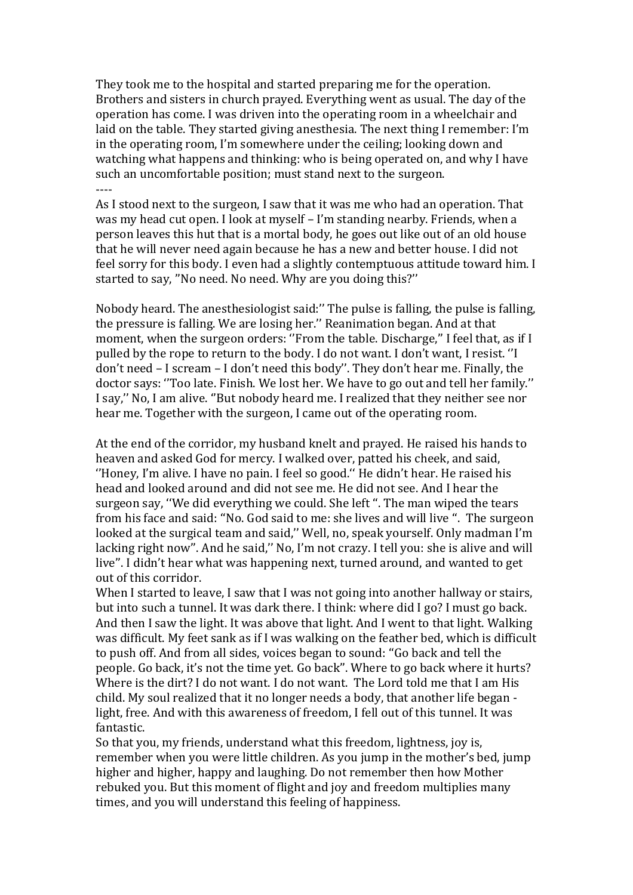They took me to the hospital and started preparing me for the operation. Brothers and sisters in church prayed. Everything went as usual. The day of the operation has come. I was driven into the operating room in a wheelchair and laid on the table. They started giving anesthesia. The next thing I remember: I'm in the operating room, I'm somewhere under the ceiling; looking down and watching what happens and thinking: who is being operated on, and why I have such an uncomfortable position; must stand next to the surgeon. ----

As I stood next to the surgeon, I saw that it was me who had an operation. That was my head cut open. I look at myself – I'm standing nearby. Friends, when a person leaves this hut that is a mortal body, he goes out like out of an old house that he will never need again because he has a new and better house. I did not feel sorry for this body. I even had a slightly contemptuous attitude toward him. I started to say, ''No need. No need. Why are you doing this?''

Nobody heard. The anesthesiologist said:'' The pulse is falling, the pulse is falling, the pressure is falling. We are losing her.'' Reanimation began. And at that moment, when the surgeon orders: "From the table. Discharge," I feel that, as if I pulled by the rope to return to the body. I do not want. I don't want, I resist. ''I don't need – I scream – I don't need this body''. They don't hear me. Finally, the doctor says: ''Too late. Finish. We lost her. We have to go out and tell her family.'' I say,'' No, I am alive. ''But nobody heard me. I realized that they neither see nor hear me. Together with the surgeon, I came out of the operating room.

At the end of the corridor, my husband knelt and prayed. He raised his hands to heaven and asked God for mercy. I walked over, patted his cheek, and said, ''Honey, I'm alive. I have no pain. I feel so good.'' He didn't hear. He raised his head and looked around and did not see me. He did not see. And I hear the surgeon say, ''We did everything we could. She left ''. The man wiped the tears from his face and said: ''No. God said to me: she lives and will live ''. The surgeon looked at the surgical team and said,'' Well, no, speak yourself. Only madman I'm lacking right now''. And he said,'' No, I'm not crazy. I tell you: she is alive and will live''. I didn't hear what was happening next, turned around, and wanted to get out of this corridor.

When I started to leave, I saw that I was not going into another hallway or stairs, but into such a tunnel. It was dark there. I think: where did I go? I must go back. And then I saw the light. It was above that light. And I went to that light. Walking was difficult. My feet sank as if I was walking on the feather bed, which is difficult to push off. And from all sides, voices began to sound: ''Go back and tell the people. Go back, it's not the time yet. Go back''. Where to go back where it hurts? Where is the dirt? I do not want. I do not want. The Lord told me that I am His child. My soul realized that it no longer needs a body, that another life began light, free. And with this awareness of freedom, I fell out of this tunnel. It was fantastic.

So that you, my friends, understand what this freedom, lightness, joy is, remember when you were little children. As you jump in the mother's bed, jump higher and higher, happy and laughing. Do not remember then how Mother rebuked you. But this moment of flight and joy and freedom multiplies many times, and you will understand this feeling of happiness.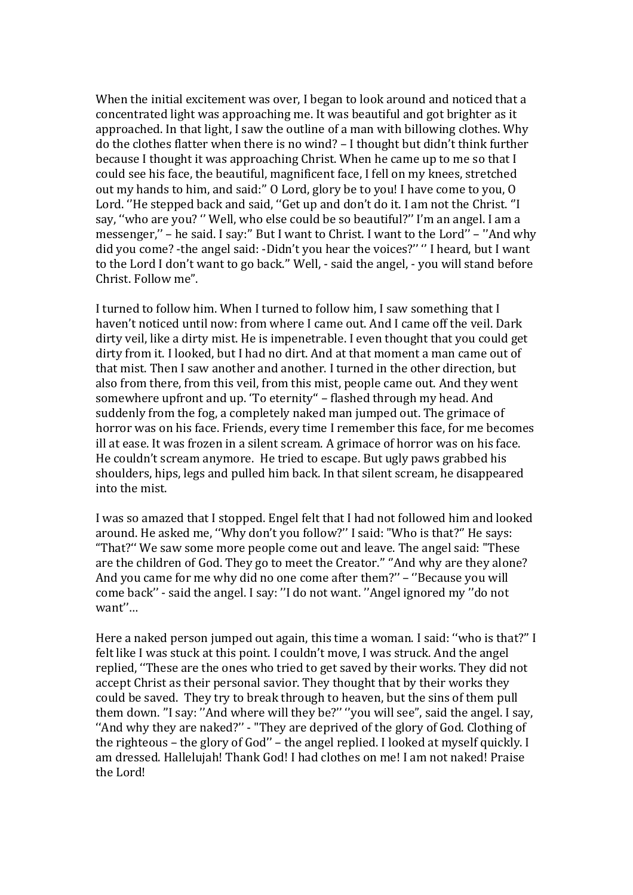When the initial excitement was over, I began to look around and noticed that a concentrated light was approaching me. It was beautiful and got brighter as it approached. In that light, I saw the outline of a man with billowing clothes. Why do the clothes flatter when there is no wind? – I thought but didn't think further because I thought it was approaching Christ. When he came up to me so that I could see his face, the beautiful, magnificent face, I fell on my knees, stretched out my hands to him, and said:'' O Lord, glory be to you! I have come to you, O Lord. ''He stepped back and said, ''Get up and don't do it. I am not the Christ. ''I say, ''who are you? '' Well, who else could be so beautiful?'' I'm an angel. I am a messenger,'' – he said. I say:'' But I want to Christ. I want to the Lord'' – ''And why did you come? -the angel said: -Didn't you hear the voices?'' '' I heard, but I want to the Lord I don't want to go back.'' Well, - said the angel, - you will stand before Christ. Follow me".

I turned to follow him. When I turned to follow him, I saw something that I haven't noticed until now: from where I came out. And I came off the veil. Dark dirty veil, like a dirty mist. He is impenetrable. I even thought that you could get dirty from it. I looked, but I had no dirt. And at that moment a man came out of that mist. Then I saw another and another. I turned in the other direction, but also from there, from this veil, from this mist, people came out. And they went somewhere upfront and up. 'To eternity'' – flashed through my head. And suddenly from the fog, a completely naked man jumped out. The grimace of horror was on his face. Friends, every time I remember this face, for me becomes ill at ease. It was frozen in a silent scream. A grimace of horror was on his face. He couldn't scream anymore. He tried to escape. But ugly paws grabbed his shoulders, hips, legs and pulled him back. In that silent scream, he disappeared into the mist.

I was so amazed that I stopped. Engel felt that I had not followed him and looked around. He asked me, ''Why don't you follow?'' I said: "Who is that?'' He says: "That?'' We saw some more people come out and leave. The angel said: "These are the children of God. They go to meet the Creator.'' ''And why are they alone? And you came for me why did no one come after them?'' – ''Because you will come back'' - said the angel. I say: ''I do not want. ''Angel ignored my ''do not want''…

Here a naked person jumped out again, this time a woman. I said: ''who is that?'' I felt like I was stuck at this point. I couldn't move, I was struck. And the angel replied, ''These are the ones who tried to get saved by their works. They did not accept Christ as their personal savior. They thought that by their works they could be saved. They try to break through to heaven, but the sins of them pull them down. ''I say: ''And where will they be?'' ''you will see", said the angel. I say, ''And why they are naked?'' - "They are deprived of the glory of God. Clothing of the righteous – the glory of God'' – the angel replied. I looked at myself quickly. I am dressed. Hallelujah! Thank God! I had clothes on me! I am not naked! Praise the Lord!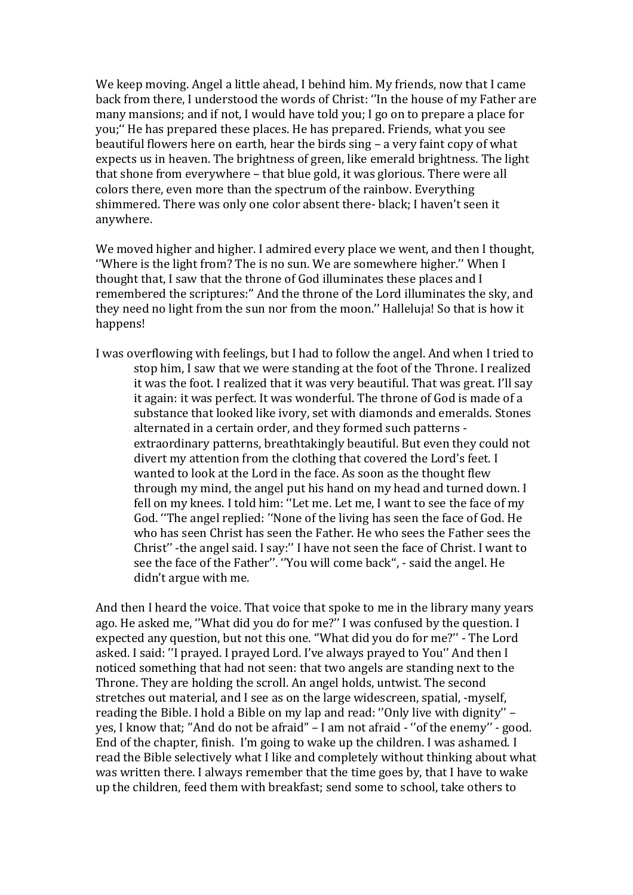We keep moving. Angel a little ahead, I behind him. My friends, now that I came back from there, I understood the words of Christ: ''In the house of my Father are many mansions; and if not, I would have told you; I go on to prepare a place for you;'' He has prepared these places. He has prepared. Friends, what you see beautiful flowers here on earth, hear the birds sing – a very faint copy of what expects us in heaven. The brightness of green, like emerald brightness. The light that shone from everywhere – that blue gold, it was glorious. There were all colors there, even more than the spectrum of the rainbow. Everything shimmered. There was only one color absent there- black; I haven't seen it anywhere.

We moved higher and higher. I admired every place we went, and then I thought, ''Where is the light from? The is no sun. We are somewhere higher.'' When I thought that, I saw that the throne of God illuminates these places and I remembered the scriptures:'' And the throne of the Lord illuminates the sky, and they need no light from the sun nor from the moon.'' Halleluja! So that is how it happens!

I was overflowing with feelings, but I had to follow the angel. And when I tried to stop him, I saw that we were standing at the foot of the Throne. I realized it was the foot. I realized that it was very beautiful. That was great. I'll say it again: it was perfect. It was wonderful. The throne of God is made of a substance that looked like ivory, set with diamonds and emeralds. Stones alternated in a certain order, and they formed such patterns extraordinary patterns, breathtakingly beautiful. But even they could not divert my attention from the clothing that covered the Lord's feet. I wanted to look at the Lord in the face. As soon as the thought flew through my mind, the angel put his hand on my head and turned down. I fell on my knees. I told him: ''Let me. Let me, I want to see the face of my God. ''The angel replied: ''None of the living has seen the face of God. He who has seen Christ has seen the Father. He who sees the Father sees the Christ'' -the angel said. I say:'' I have not seen the face of Christ. I want to see the face of the Father''. ''You will come back'', - said the angel. He didn't argue with me.

And then I heard the voice. That voice that spoke to me in the library many years ago. He asked me, ''What did you do for me?'' I was confused by the question. I expected any question, but not this one. ''What did you do for me?'' - The Lord asked. I said: ''I prayed. I prayed Lord. I've always prayed to You'' And then I noticed something that had not seen: that two angels are standing next to the Throne. They are holding the scroll. An angel holds, untwist. The second stretches out material, and I see as on the large widescreen, spatial, -myself, reading the Bible. I hold a Bible on my lap and read: ''Only live with dignity'' – yes, I know that; ''And do not be afraid" – I am not afraid - ''of the enemy'' - good. End of the chapter, finish. I'm going to wake up the children. I was ashamed. I read the Bible selectively what I like and completely without thinking about what was written there. I always remember that the time goes by, that I have to wake up the children, feed them with breakfast; send some to school, take others to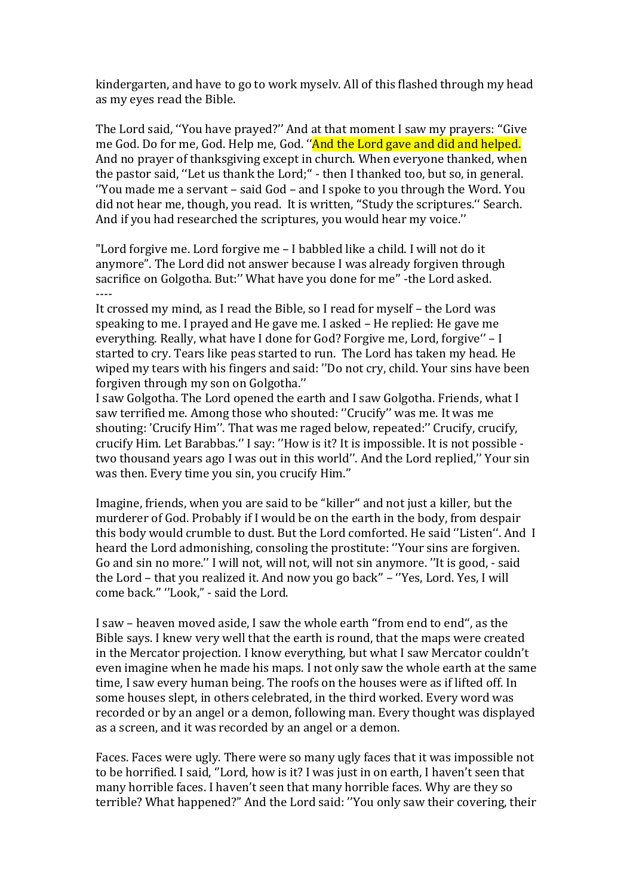kindergarten, and have to go to work myselv. All of this flashed through my head as my eyes read the Bible.

The Lord said, ''You have prayed?'' And at that moment I saw my prayers: ''Give me God. Do for me, God. Help me, God. ''And the Lord gave and did and helped. And no prayer of thanksgiving except in church. When everyone thanked, when the pastor said, ''Let us thank the Lord;'' - then I thanked too, but so, in general. ''You made me a servant – said God – and I spoke to you through the Word. You did not hear me, though, you read. It is written, ''Study the scriptures.'' Search. And if you had researched the scriptures, you would hear my voice.''

"Lord forgive me. Lord forgive me – I babbled like a child. I will not do it anymore". The Lord did not answer because I was already forgiven through sacrifice on Golgotha. But:'' What have you done for me'' -the Lord asked. ----

It crossed my mind, as I read the Bible, so I read for myself – the Lord was speaking to me. I prayed and He gave me. I asked – He replied: He gave me everything. Really, what have I done for God? Forgive me, Lord, forgive'' – I started to cry. Tears like peas started to run. The Lord has taken my head. He wiped my tears with his fingers and said: ''Do not cry, child. Your sins have been forgiven through my son on Golgotha.''

I saw Golgotha. The Lord opened the earth and I saw Golgotha. Friends, what I saw terrified me. Among those who shouted: ''Crucify'' was me. It was me shouting: 'Crucify Him''. That was me raged below, repeated:'' Crucify, crucify, crucify Him. Let Barabbas.'' I say: ''How is it? It is impossible. It is not possible two thousand years ago I was out in this world''. And the Lord replied,'' Your sin was then. Every time you sin, you crucify Him.''

Imagine, friends, when you are said to be "killer'' and not just a killer, but the murderer of God. Probably if I would be on the earth in the body, from despair this body would crumble to dust. But the Lord comforted. He said ''Listen''. And I heard the Lord admonishing, consoling the prostitute: ''Your sins are forgiven. Go and sin no more.'' I will not, will not, will not sin anymore. ''It is good, - said the Lord – that you realized it. And now you go back'' – ''Yes, Lord. Yes, I will come back.'' ''Look," - said the Lord.

I saw – heaven moved aside, I saw the whole earth ''from end to end'', as the Bible says. I knew very well that the earth is round, that the maps were created in the Mercator projection. I know everything, but what I saw Mercator couldn't even imagine when he made his maps. I not only saw the whole earth at the same time, I saw every human being. The roofs on the houses were as if lifted off. In some houses slept, in others celebrated, in the third worked. Every word was recorded or by an angel or a demon, following man. Every thought was displayed as a screen, and it was recorded by an angel or a demon.

Faces. Faces were ugly. There were so many ugly faces that it was impossible not to be horrified. I said, ''Lord, how is it? I was just in on earth, I haven't seen that many horrible faces. I haven't seen that many horrible faces. Why are they so terrible? What happened?" And the Lord said: ''You only saw their covering, their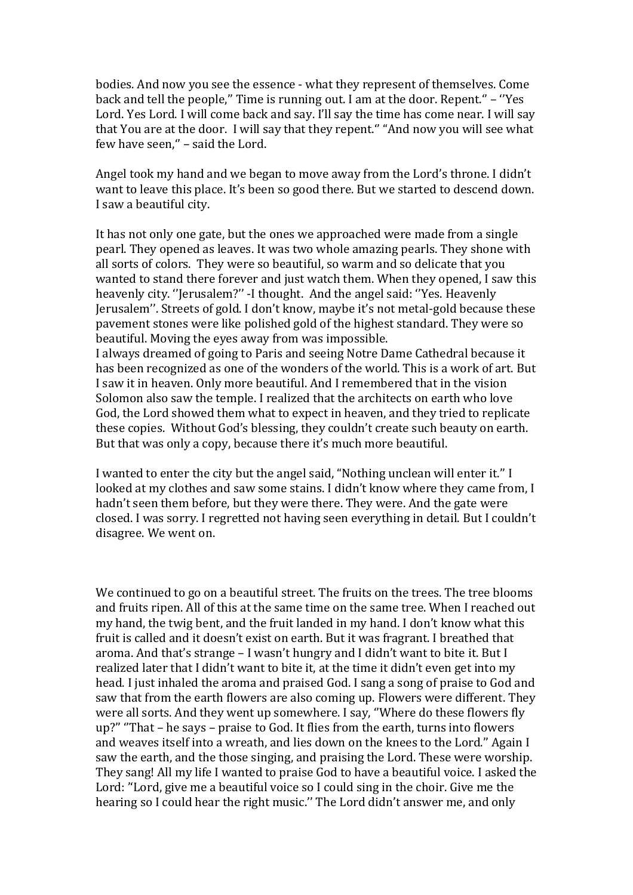bodies. And now you see the essence - what they represent of themselves. Come back and tell the people,'' Time is running out. I am at the door. Repent.'' – ''Yes Lord. Yes Lord. I will come back and say. I'll say the time has come near. I will say that You are at the door. I will say that they repent.'' "And now you will see what few have seen," - said the Lord.

Angel took my hand and we began to move away from the Lord's throne. I didn't want to leave this place. It's been so good there. But we started to descend down. I saw a beautiful city.

It has not only one gate, but the ones we approached were made from a single pearl. They opened as leaves. It was two whole amazing pearls. They shone with all sorts of colors. They were so beautiful, so warm and so delicate that you wanted to stand there forever and just watch them. When they opened, I saw this heavenly city. ''Jerusalem?'' -I thought. And the angel said: ''Yes. Heavenly Jerusalem''. Streets of gold. I don't know, maybe it's not metal-gold because these pavement stones were like polished gold of the highest standard. They were so beautiful. Moving the eyes away from was impossible.

I always dreamed of going to Paris and seeing Notre Dame Cathedral because it has been recognized as one of the wonders of the world. This is a work of art. But I saw it in heaven. Only more beautiful. And I remembered that in the vision Solomon also saw the temple. I realized that the architects on earth who love God, the Lord showed them what to expect in heaven, and they tried to replicate these copies. Without God's blessing, they couldn't create such beauty on earth. But that was only a copy, because there it's much more beautiful.

I wanted to enter the city but the angel said, "Nothing unclean will enter it.'' I looked at my clothes and saw some stains. I didn't know where they came from, I hadn't seen them before, but they were there. They were. And the gate were closed. I was sorry. I regretted not having seen everything in detail. But I couldn't disagree. We went on.

We continued to go on a beautiful street. The fruits on the trees. The tree blooms and fruits ripen. All of this at the same time on the same tree. When I reached out my hand, the twig bent, and the fruit landed in my hand. I don't know what this fruit is called and it doesn't exist on earth. But it was fragrant. I breathed that aroma. And that's strange – I wasn't hungry and I didn't want to bite it. But I realized later that I didn't want to bite it, at the time it didn't even get into my head. I just inhaled the aroma and praised God. I sang a song of praise to God and saw that from the earth flowers are also coming up. Flowers were different. They were all sorts. And they went up somewhere. I say, ''Where do these flowers fly up?'' ''That – he says – praise to God. It flies from the earth, turns into flowers and weaves itself into a wreath, and lies down on the knees to the Lord.'' Again I saw the earth, and the those singing, and praising the Lord. These were worship. They sang! All my life I wanted to praise God to have a beautiful voice. I asked the Lord: ''Lord, give me a beautiful voice so I could sing in the choir. Give me the hearing so I could hear the right music.'' The Lord didn't answer me, and only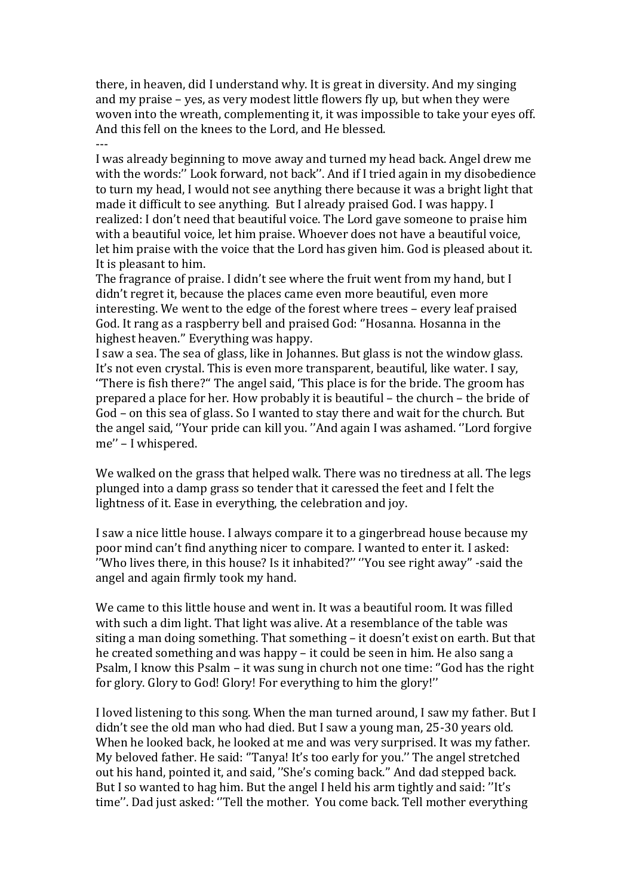there, in heaven, did I understand why. It is great in diversity. And my singing and my praise – yes, as very modest little flowers fly up, but when they were woven into the wreath, complementing it, it was impossible to take your eyes off. And this fell on the knees to the Lord, and He blessed. ---

I was already beginning to move away and turned my head back. Angel drew me with the words:'' Look forward, not back''. And if I tried again in my disobedience to turn my head, I would not see anything there because it was a bright light that made it difficult to see anything. But I already praised God. I was happy. I realized: I don't need that beautiful voice. The Lord gave someone to praise him with a beautiful voice, let him praise. Whoever does not have a beautiful voice, let him praise with the voice that the Lord has given him. God is pleased about it. It is pleasant to him.

The fragrance of praise. I didn't see where the fruit went from my hand, but I didn't regret it, because the places came even more beautiful, even more interesting. We went to the edge of the forest where trees – every leaf praised God. It rang as a raspberry bell and praised God: ''Hosanna. Hosanna in the highest heaven.'' Everything was happy.

I saw a sea. The sea of glass, like in Johannes. But glass is not the window glass. It's not even crystal. This is even more transparent, beautiful, like water. I say, ''There is fish there?'' The angel said, 'This place is for the bride. The groom has prepared a place for her. How probably it is beautiful – the church – the bride of God – on this sea of glass. So I wanted to stay there and wait for the church. But the angel said, ''Your pride can kill you. ''And again I was ashamed. ''Lord forgive me'' – I whispered.

We walked on the grass that helped walk. There was no tiredness at all. The legs plunged into a damp grass so tender that it caressed the feet and I felt the lightness of it. Ease in everything, the celebration and joy.

I saw a nice little house. I always compare it to a gingerbread house because my poor mind can't find anything nicer to compare. I wanted to enter it. I asked: ''Who lives there, in this house? Is it inhabited?'' ''You see right away'' -said the angel and again firmly took my hand.

We came to this little house and went in. It was a beautiful room. It was filled with such a dim light. That light was alive. At a resemblance of the table was siting a man doing something. That something – it doesn't exist on earth. But that he created something and was happy – it could be seen in him. He also sang a Psalm, I know this Psalm – it was sung in church not one time: ''God has the right for glory. Glory to God! Glory! For everything to him the glory!''

I loved listening to this song. When the man turned around, I saw my father. But I didn't see the old man who had died. But I saw a young man, 25-30 years old. When he looked back, he looked at me and was very surprised. It was my father. My beloved father. He said: ''Tanya! It's too early for you.'' The angel stretched out his hand, pointed it, and said, ''She's coming back.'' And dad stepped back. But I so wanted to hag him. But the angel I held his arm tightly and said: ''It's time''. Dad just asked: ''Tell the mother. You come back. Tell mother everything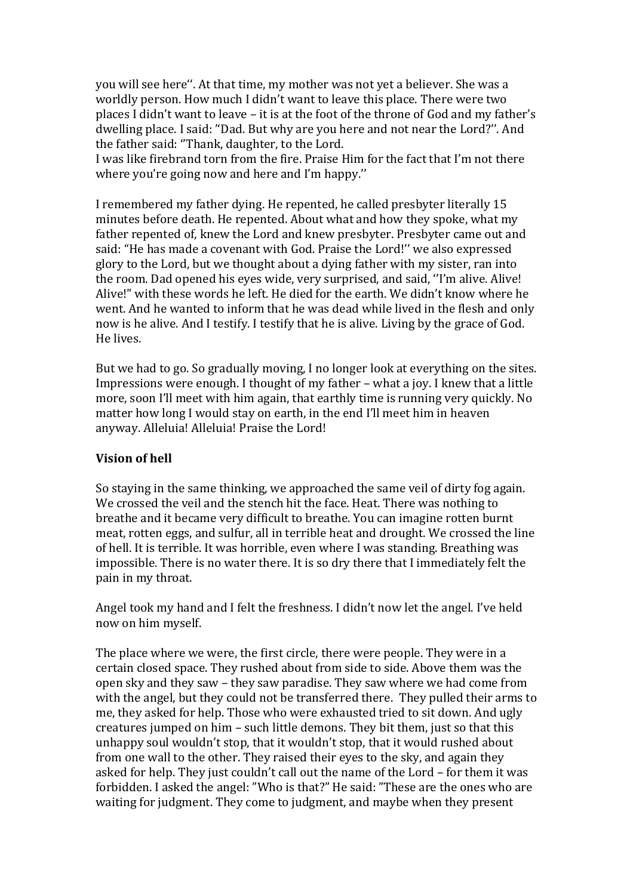you will see here''. At that time, my mother was not yet a believer. She was a worldly person. How much I didn't want to leave this place. There were two places I didn't want to leave – it is at the foot of the throne of God and my father's dwelling place. I said: ''Dad. But why are you here and not near the Lord?''. And the father said: ''Thank, daughter, to the Lord.

I was like firebrand torn from the fire. Praise Him for the fact that I'm not there where you're going now and here and I'm happy.''

I remembered my father dying. He repented, he called presbyter literally 15 minutes before death. He repented. About what and how they spoke, what my father repented of, knew the Lord and knew presbyter. Presbyter came out and said: "He has made a covenant with God. Praise the Lord!'' we also expressed glory to the Lord, but we thought about a dying father with my sister, ran into the room. Dad opened his eyes wide, very surprised, and said, ''I'm alive. Alive! Alive!" with these words he left. He died for the earth. We didn't know where he went. And he wanted to inform that he was dead while lived in the flesh and only now is he alive. And I testify. I testify that he is alive. Living by the grace of God. He lives.

But we had to go. So gradually moving, I no longer look at everything on the sites. Impressions were enough. I thought of my father – what a joy. I knew that a little more, soon I'll meet with him again, that earthly time is running very quickly. No matter how long I would stay on earth, in the end I'll meet him in heaven anyway. Alleluia! Alleluia! Praise the Lord!

## **Vision of hell**

So staying in the same thinking, we approached the same veil of dirty fog again. We crossed the veil and the stench hit the face. Heat. There was nothing to breathe and it became very difficult to breathe. You can imagine rotten burnt meat, rotten eggs, and sulfur, all in terrible heat and drought. We crossed the line of hell. It is terrible. It was horrible, even where I was standing. Breathing was impossible. There is no water there. It is so dry there that I immediately felt the pain in my throat.

Angel took my hand and I felt the freshness. I didn't now let the angel. I've held now on him myself.

The place where we were, the first circle, there were people. They were in a certain closed space. They rushed about from side to side. Above them was the open sky and they saw – they saw paradise. They saw where we had come from with the angel, but they could not be transferred there. They pulled their arms to me, they asked for help. Those who were exhausted tried to sit down. And ugly creatures jumped on him – such little demons. They bit them, just so that this unhappy soul wouldn't stop, that it wouldn't stop, that it would rushed about from one wall to the other. They raised their eyes to the sky, and again they asked for help. They just couldn't call out the name of the Lord – for them it was forbidden. I asked the angel: "Who is that?" He said: "These are the ones who are waiting for judgment. They come to judgment, and maybe when they present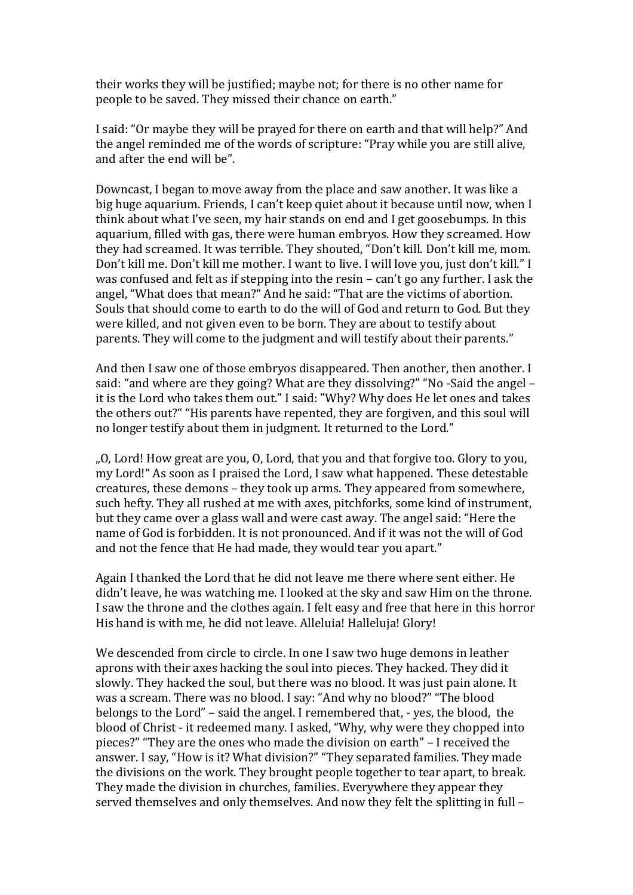their works they will be justified; maybe not; for there is no other name for people to be saved. They missed their chance on earth."

I said: "Or maybe they will be prayed for there on earth and that will help?" And the angel reminded me of the words of scripture: "Pray while you are still alive, and after the end will be".

Downcast, I began to move away from the place and saw another. It was like a big huge aquarium. Friends, I can't keep quiet about it because until now, when I think about what I've seen, my hair stands on end and I get goosebumps. In this aquarium, filled with gas, there were human embryos. How they screamed. How they had screamed. It was terrible. They shouted, "Don't kill. Don't kill me, mom. Don't kill me. Don't kill me mother. I want to live. I will love you, just don't kill." I was confused and felt as if stepping into the resin – can't go any further. I ask the angel, "What does that mean?" And he said: "That are the victims of abortion. Souls that should come to earth to do the will of God and return to God. But they were killed, and not given even to be born. They are about to testify about parents. They will come to the judgment and will testify about their parents."

And then I saw one of those embryos disappeared. Then another, then another. I said: "and where are they going? What are they dissolving?" "No -Said the angel – it is the Lord who takes them out." I said: "Why? Why does He let ones and takes the others out?" "His parents have repented, they are forgiven, and this soul will no longer testify about them in judgment. It returned to the Lord."

"O, Lord! How great are you, O, Lord, that you and that forgive too. Glory to you, my Lord!" As soon as I praised the Lord, I saw what happened. These detestable creatures, these demons – they took up arms. They appeared from somewhere, such hefty. They all rushed at me with axes, pitchforks, some kind of instrument, but they came over a glass wall and were cast away. The angel said: "Here the name of God is forbidden. It is not pronounced. And if it was not the will of God and not the fence that He had made, they would tear you apart."

Again I thanked the Lord that he did not leave me there where sent either. He didn't leave, he was watching me. I looked at the sky and saw Him on the throne. I saw the throne and the clothes again. I felt easy and free that here in this horror His hand is with me, he did not leave. Alleluia! Halleluja! Glory!

We descended from circle to circle. In one I saw two huge demons in leather aprons with their axes hacking the soul into pieces. They hacked. They did it slowly. They hacked the soul, but there was no blood. It was just pain alone. It was a scream. There was no blood. I say: "And why no blood?" "The blood belongs to the Lord" – said the angel. I remembered that, - yes, the blood, the blood of Christ - it redeemed many. I asked, "Why, why were they chopped into pieces?" "They are the ones who made the division on earth" – I received the answer. I say, "How is it? What division?" "They separated families. They made the divisions on the work. They brought people together to tear apart, to break. They made the division in churches, families. Everywhere they appear they served themselves and only themselves. And now they felt the splitting in full –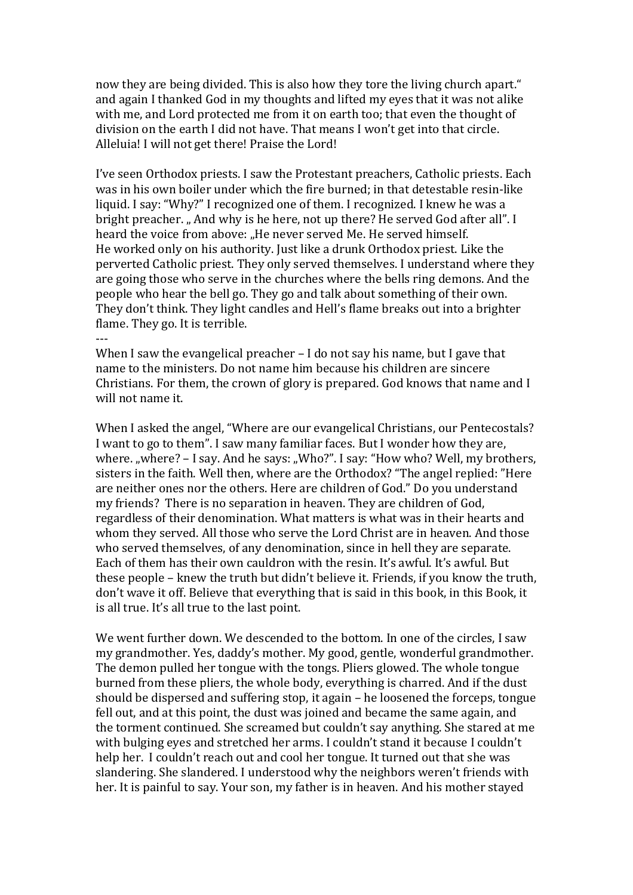now they are being divided. This is also how they tore the living church apart." and again I thanked God in my thoughts and lifted my eyes that it was not alike with me, and Lord protected me from it on earth too; that even the thought of division on the earth I did not have. That means I won't get into that circle. Alleluia! I will not get there! Praise the Lord!

I've seen Orthodox priests. I saw the Protestant preachers, Catholic priests. Each was in his own boiler under which the fire burned; in that detestable resin-like liquid. I say: "Why?" I recognized one of them. I recognized. I knew he was a bright preacher. "And why is he here, not up there? He served God after all". I heard the voice from above: "He never served Me. He served himself. He worked only on his authority. Just like a drunk Orthodox priest. Like the perverted Catholic priest. They only served themselves. I understand where they are going those who serve in the churches where the bells ring demons. And the people who hear the bell go. They go and talk about something of their own. They don't think. They light candles and Hell's flame breaks out into a brighter flame. They go. It is terrible. ---

When I saw the evangelical preacher – I do not say his name, but I gave that name to the ministers. Do not name him because his children are sincere Christians. For them, the crown of glory is prepared. God knows that name and I will not name it.

When I asked the angel, "Where are our evangelical Christians, our Pentecostals? I want to go to them". I saw many familiar faces. But I wonder how they are, where. "where? - I say. And he says: "Who?". I say: "How who? Well, my brothers, sisters in the faith. Well then, where are the Orthodox? "The angel replied: "Here are neither ones nor the others. Here are children of God." Do you understand my friends? There is no separation in heaven. They are children of God, regardless of their denomination. What matters is what was in their hearts and whom they served. All those who serve the Lord Christ are in heaven. And those who served themselves, of any denomination, since in hell they are separate. Each of them has their own cauldron with the resin. It's awful. It's awful. But these people – knew the truth but didn't believe it. Friends, if you know the truth, don't wave it off. Believe that everything that is said in this book, in this Book, it is all true. It's all true to the last point.

We went further down. We descended to the bottom. In one of the circles, I saw my grandmother. Yes, daddy's mother. My good, gentle, wonderful grandmother. The demon pulled her tongue with the tongs. Pliers glowed. The whole tongue burned from these pliers, the whole body, everything is charred. And if the dust should be dispersed and suffering stop, it again – he loosened the forceps, tongue fell out, and at this point, the dust was joined and became the same again, and the torment continued. She screamed but couldn't say anything. She stared at me with bulging eyes and stretched her arms. I couldn't stand it because I couldn't help her. I couldn't reach out and cool her tongue. It turned out that she was slandering. She slandered. I understood why the neighbors weren't friends with her. It is painful to say. Your son, my father is in heaven. And his mother stayed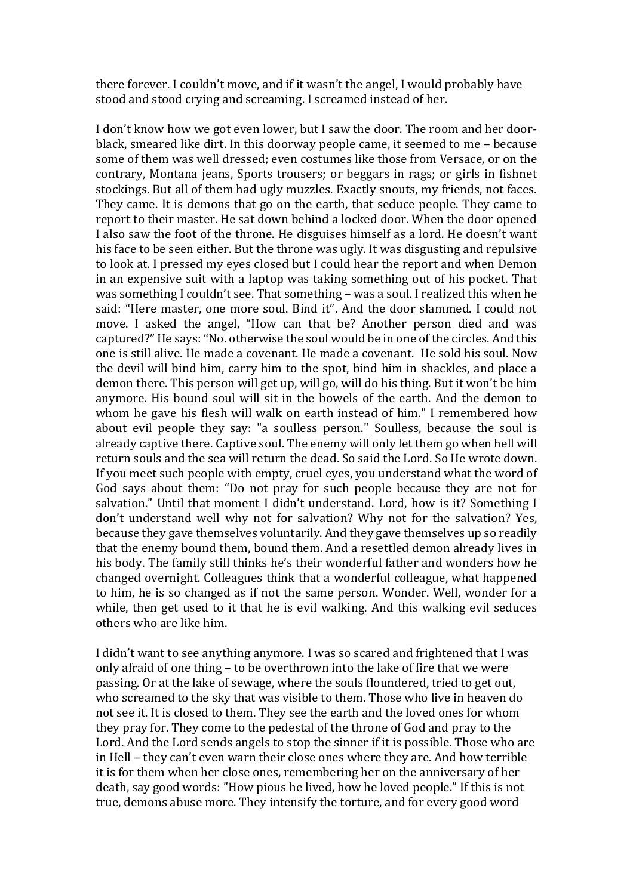there forever. I couldn't move, and if it wasn't the angel, I would probably have stood and stood crying and screaming. I screamed instead of her.

I don't know how we got even lower, but I saw the door. The room and her doorblack, smeared like dirt. In this doorway people came, it seemed to me – because some of them was well dressed; even costumes like those from Versace, or on the contrary, Montana jeans, Sports trousers; or beggars in rags; or girls in fishnet stockings. But all of them had ugly muzzles. Exactly snouts, my friends, not faces. They came. It is demons that go on the earth, that seduce people. They came to report to their master. He sat down behind a locked door. When the door opened I also saw the foot of the throne. He disguises himself as a lord. He doesn't want his face to be seen either. But the throne was ugly. It was disgusting and repulsive to look at. I pressed my eyes closed but I could hear the report and when Demon in an expensive suit with a laptop was taking something out of his pocket. That was something I couldn't see. That something – was a soul. I realized this when he said: "Here master, one more soul. Bind it". And the door slammed. I could not move. I asked the angel, "How can that be? Another person died and was captured?" He says: "No. otherwise the soul would be in one of the circles. And this one is still alive. He made a covenant. He made a covenant. He sold his soul. Now the devil will bind him, carry him to the spot, bind him in shackles, and place a demon there. This person will get up, will go, will do his thing. But it won't be him anymore. His bound soul will sit in the bowels of the earth. And the demon to whom he gave his flesh will walk on earth instead of him." I remembered how about evil people they say: "a soulless person." Soulless, because the soul is already captive there. Captive soul. The enemy will only let them go when hell will return souls and the sea will return the dead. So said the Lord. So He wrote down. If you meet such people with empty, cruel eyes, you understand what the word of God says about them: "Do not pray for such people because they are not for salvation." Until that moment I didn't understand. Lord, how is it? Something I don't understand well why not for salvation? Why not for the salvation? Yes, because they gave themselves voluntarily. And they gave themselves up so readily that the enemy bound them, bound them. And a resettled demon already lives in his body. The family still thinks he's their wonderful father and wonders how he changed overnight. Colleagues think that a wonderful colleague, what happened to him, he is so changed as if not the same person. Wonder. Well, wonder for a while, then get used to it that he is evil walking. And this walking evil seduces others who are like him.

I didn't want to see anything anymore. I was so scared and frightened that I was only afraid of one thing – to be overthrown into the lake of fire that we were passing. Or at the lake of sewage, where the souls floundered, tried to get out, who screamed to the sky that was visible to them. Those who live in heaven do not see it. It is closed to them. They see the earth and the loved ones for whom they pray for. They come to the pedestal of the throne of God and pray to the Lord. And the Lord sends angels to stop the sinner if it is possible. Those who are in Hell – they can't even warn their close ones where they are. And how terrible it is for them when her close ones, remembering her on the anniversary of her death, say good words: "How pious he lived, how he loved people." If this is not true, demons abuse more. They intensify the torture, and for every good word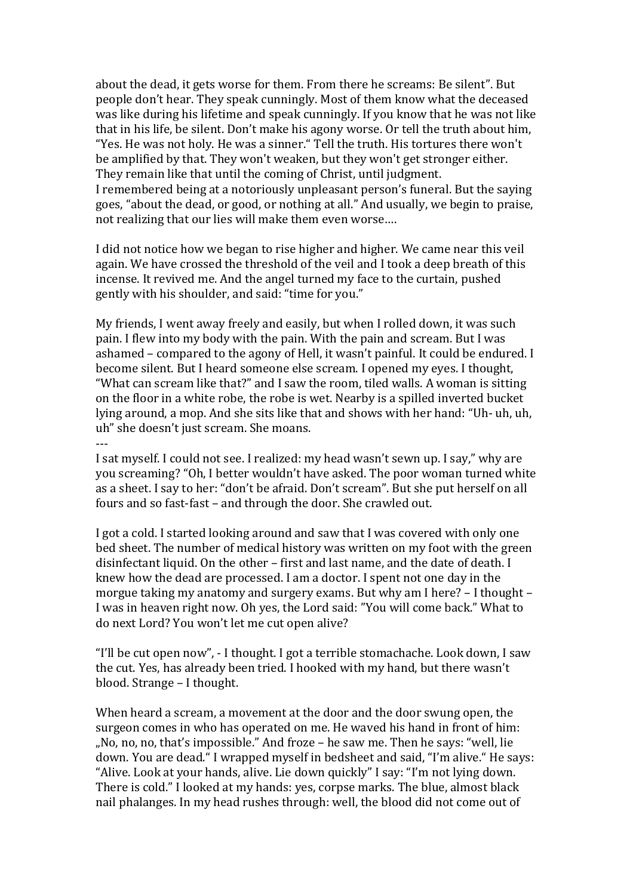about the dead, it gets worse for them. From there he screams: Be silent". But people don't hear. They speak cunningly. Most of them know what the deceased was like during his lifetime and speak cunningly. If you know that he was not like that in his life, be silent. Don't make his agony worse. Or tell the truth about him, "Yes. He was not holy. He was a sinner." Tell the truth. His tortures there won't be amplified by that. They won't weaken, but they won't get stronger either. They remain like that until the coming of Christ, until judgment. I remembered being at a notoriously unpleasant person's funeral. But the saying goes, "about the dead, or good, or nothing at all." And usually, we begin to praise, not realizing that our lies will make them even worse….

I did not notice how we began to rise higher and higher. We came near this veil again. We have crossed the threshold of the veil and I took a deep breath of this incense. It revived me. And the angel turned my face to the curtain, pushed gently with his shoulder, and said: "time for you."

My friends, I went away freely and easily, but when I rolled down, it was such pain. I flew into my body with the pain. With the pain and scream. But I was ashamed – compared to the agony of Hell, it wasn't painful. It could be endured. I become silent. But I heard someone else scream. I opened my eyes. I thought, "What can scream like that?" and I saw the room, tiled walls. A woman is sitting on the floor in a white robe, the robe is wet. Nearby is a spilled inverted bucket lying around, a mop. And she sits like that and shows with her hand: "Uh- uh, uh, uh" she doesn't just scream. She moans.

I sat myself. I could not see. I realized: my head wasn't sewn up. I say," why are you screaming? "Oh, I better wouldn't have asked. The poor woman turned white as a sheet. I say to her: "don't be afraid. Don't scream". But she put herself on all fours and so fast-fast – and through the door. She crawled out.

---

I got a cold. I started looking around and saw that I was covered with only one bed sheet. The number of medical history was written on my foot with the green disinfectant liquid. On the other – first and last name, and the date of death. I knew how the dead are processed. I am a doctor. I spent not one day in the morgue taking my anatomy and surgery exams. But why am I here? – I thought – I was in heaven right now. Oh yes, the Lord said: "You will come back." What to do next Lord? You won't let me cut open alive?

"I'll be cut open now", - I thought. I got a terrible stomachache. Look down, I saw the cut. Yes, has already been tried. I hooked with my hand, but there wasn't blood. Strange – I thought.

When heard a scream, a movement at the door and the door swung open, the surgeon comes in who has operated on me. He waved his hand in front of him: "No, no, no, that's impossible." And froze – he saw me. Then he says: "well, lie down. You are dead." I wrapped myself in bedsheet and said, "I'm alive." He says: "Alive. Look at your hands, alive. Lie down quickly" I say: "I'm not lying down. There is cold." I looked at my hands: yes, corpse marks. The blue, almost black nail phalanges. In my head rushes through: well, the blood did not come out of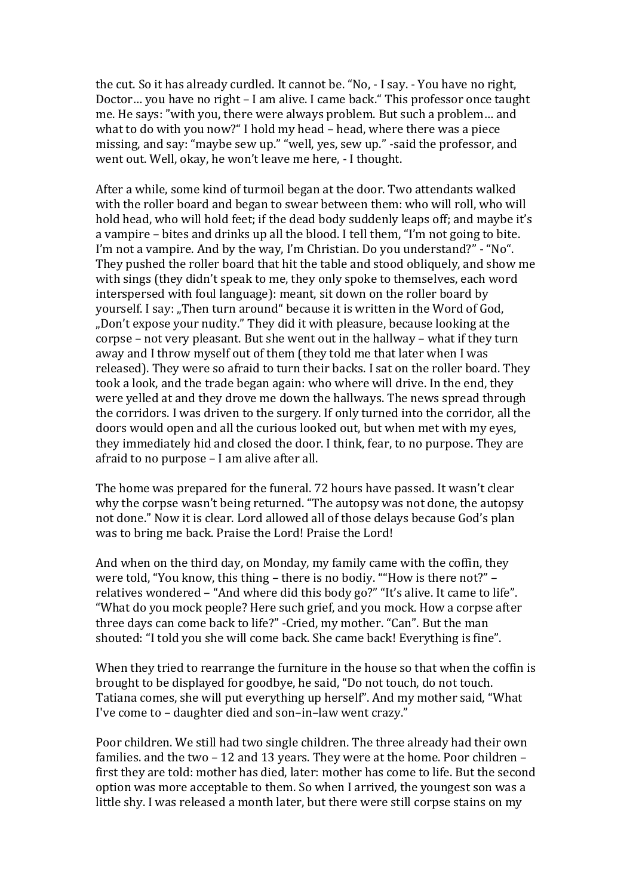the cut. So it has already curdled. It cannot be. "No, - I say. - You have no right, Doctor… you have no right – I am alive. I came back." This professor once taught me. He says: "with you, there were always problem. But such a problem… and what to do with you now?" I hold my head – head, where there was a piece missing, and say: "maybe sew up." "well, yes, sew up." -said the professor, and went out. Well, okay, he won't leave me here, - I thought.

After a while, some kind of turmoil began at the door. Two attendants walked with the roller board and began to swear between them: who will roll, who will hold head, who will hold feet; if the dead body suddenly leaps off; and maybe it's a vampire – bites and drinks up all the blood. I tell them, "I'm not going to bite. I'm not a vampire. And by the way, I'm Christian. Do you understand?" - "No". They pushed the roller board that hit the table and stood obliquely, and show me with sings (they didn't speak to me, they only spoke to themselves, each word interspersed with foul language): meant, sit down on the roller board by yourself. I say: "Then turn around" because it is written in the Word of God, "Don't expose your nudity." They did it with pleasure, because looking at the corpse – not very pleasant. But she went out in the hallway – what if they turn away and I throw myself out of them (they told me that later when I was released). They were so afraid to turn their backs. I sat on the roller board. They took a look, and the trade began again: who where will drive. In the end, they were yelled at and they drove me down the hallways. The news spread through the corridors. I was driven to the surgery. If only turned into the corridor, all the doors would open and all the curious looked out, but when met with my eyes, they immediately hid and closed the door. I think, fear, to no purpose. They are afraid to no purpose – I am alive after all.

The home was prepared for the funeral. 72 hours have passed. It wasn't clear why the corpse wasn't being returned. "The autopsy was not done, the autopsy not done." Now it is clear. Lord allowed all of those delays because God's plan was to bring me back. Praise the Lord! Praise the Lord!

And when on the third day, on Monday, my family came with the coffin, they were told, "You know, this thing – there is no bodiy. ""How is there not?" – relatives wondered – "And where did this body go?" "It's alive. It came to life". "What do you mock people? Here such grief, and you mock. How a corpse after three days can come back to life?" -Cried, my mother. "Can". But the man shouted: "I told you she will come back. She came back! Everything is fine".

When they tried to rearrange the furniture in the house so that when the coffin is brought to be displayed for goodbye, he said, "Do not touch, do not touch. Tatiana comes, she will put everything up herself". And my mother said, "What I've come to – daughter died and son–in–law went crazy."

Poor children. We still had two single children. The three already had their own families. and the two – 12 and 13 years. They were at the home. Poor children – first they are told: mother has died, later: mother has come to life. But the second option was more acceptable to them. So when I arrived, the youngest son was a little shy. I was released a month later, but there were still corpse stains on my